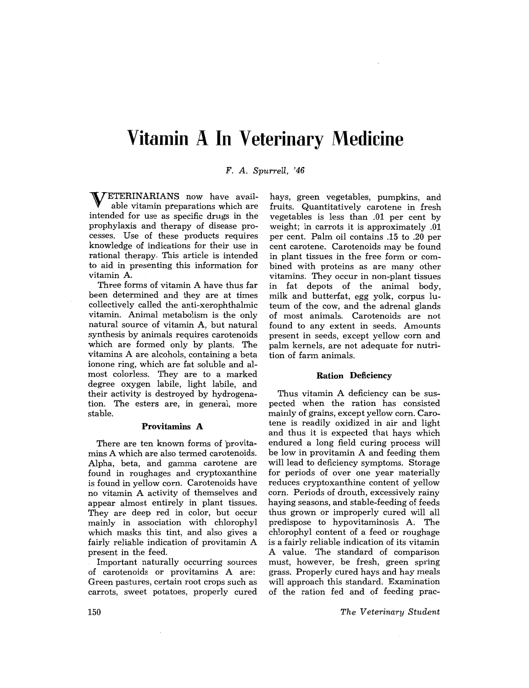# **Vitamin A In Veterinary Medicine**

*F.* A. *Spurrell, '46* 

ETERINARIANS now have available vitamin preparations which are intended for use as specific drugs in the prophylaxis and therapy of disease processes. Use of these products requires knowledge of indications for their use in rational therapy. This article is intended to aid in presenting this information for vitamin A.

Three forms of vitamin A have thus far been determined and they are at times collectively called the anti-xerophthalmic vitamin. Animal metabolism is the only natural source of vitamin A, but natural synthesis by animals requires carotenoids which are formed only by plants. The vitamins A are alcohols, containing a beta ion one ring, which are fat soluble and almost colorless. They are to a marked degree oxygen labile, light labile, and their activity is destroyed by hydrogenation. The esters are, in general, more stable.

#### Provitamins A

There are ten known forms of provitamins A which are also termed carotenoids. Alpha, beta, and gamma carotene are found in roughages and cryptoxanthine is found in yellow corn. Carotenoids have no vitamin A activity of themselves and appear almost entirely in plant tissues. They are deep red in color, but occur mainly in association with chlorophyl which masks this tint, and also gives a fairly reliable indication of provitamin A present in the feed.

Important naturally occurring sources of carotenoids or provitamins A are: Green pastures, certain root crops such as carrots, sweet potatoes, properly cured

hays, green vegetables, pumpkins, and fruits. Quantitatively carotene in fresh vegetables is less than .01 per cent by weight; in carrots it is approximately .01 per cent. Palm oil contains .15 to .20 per cent carotene. Carotenoids may be found in plant tissues in the free form or combined with proteins as are many other vitamins. They occur in non-plant tissues in fat depots of the animal body, milk and butterfat, egg yolk, corpus luteum of the cow, and the adrenal glands of most animals. Carotenoids are not found to any extent in seeds. Amounts present in seeds, except yellow corn and palm kernels, are not adequate for nutrition of farm animals.

## Ration Deficiency

Thus vitamin A deficiency can be suspected when the ration has consisted mainly of grains, except yellow corn. Carotene is readily oxidized in air and light and thus it is expected that hays which endured a long field curing process will be low in provitamin A and feeding them will lead to deficiency symptoms. Storage for periods of over one year materially reduces cryptoxanthine content of yellow corn. Periods of drouth, excessively rainy haying seasons, and stable-feeding of feeds thus grown or improperly cured will all predispose to hypovitaminosis A. The chlorophyl content of a feed or roughage is a fairly reliable indication of its vitamin A value. The standard of comparison must, however, be fresh, green spring grass. Properly cured hays and hay meals will approach this standard. Examination of the ration fed and of feeding prac-

*The Veterinary Student*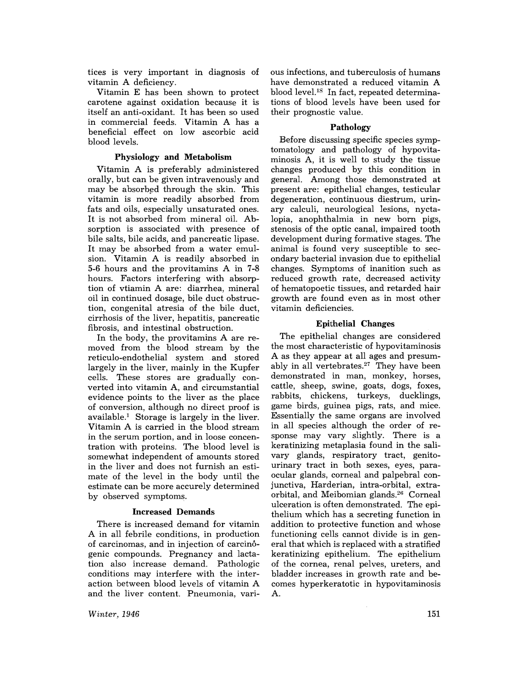tices is very important in diagnosis of vitamin A deficiency.

Vitamin E has been shown to protect carotene against oxidation because it is itself an anti-oxidant. It has been so used in commercial feeds. Vitamin A has a beneficial effect on low ascorbic acid blood levels.

## Physiology and Metabolism

Vitamin A is preferably administered orally, but can be given intravenously and may be absorbed through the skin. This vitamin is more readily absorbed from fats and oils, especially unsaturated ones. It is not absorbed from mineral oil. Absorption is associated with presence of bile salts, bile acids, and pancreatic lipase. It may be absorbed from a water emulsion. Vitamin A is readily absorbed in 5-6 hours and the provitamins A in 7-8 hours. Factors interfering with absorption of vtiamin A are: diarrhea, mineral oil in continued dosage, bile duct obstruction, congenital atresia of the bile duct, cirrhosis of the liver, hepatitis, pancreatic fibrosis, and intestinal obstruction.

In the body, the provitamins A are removed from the blood stream by the reticulo-endothelial system . and stored largely in the liver, mainly in the Kupfer cells. These stores are gradually converted into vitamin A, and circumstantial evidence points to the liver as the place of conversion, although no direct proof is available.! Storage is largely in the liver. Vitamin A is carried in the blood stream in the serum portion, and in loose concentration with proteins. The blood level is somewhat independent of amounts stored in the liver and does not furnish an estimate of the level in the body until the estimate can be more accurely determined by observed symptoms.

## Increased Demands

There is increased demand for vitamin A in all febrile conditions, in production of carcinomas, and in injection of carcinogenic compounds. Pregnancy and lactation also increase demand. Pathologic conditions may interfere with the interaction between blood levels of vitamin A and the liver content. Pneumonia, vari-

*Winter, 1946* 

ous infections, and tuberculosis of humans have demonstrated a reduced vitamin A blood level.<sup>18</sup> In fact, repeated determinations of blood levels have been used for their prognostic value.

## Pathology

Before discussing specific species symptomatology and pathology of hypovitaminosis A, it is well to study the tissue changes produced by this condition in general. Among those demonstrated at present are: epithelial changes, testicular degeneration, continuous diestrum, urinary calculi, neurological lesions, nyctalopia, anophthalmia in new born pigs, stenosis of the optic canal, impaired tooth development during formative stages. The animal is found very susceptible to secondary bacterial invasion due to epithelial changes. Symptoms of inanition such as reduced growth rate, decreased activity of hematopoetic tissues, and retarded hair growth are found even as in most other vitamin deficiencies.

## Epithelial Changes

The epithelial changes are considered the most characteristic of hypovitaminosis A as they appear at all ages and presumably in all vertebrates.<sup>27</sup> They have been demonstrated in man, monkey, horses, cattle, sheep, swine, goats, dogs, foxes, rabbits, chickens, turkeys, ducklings, game birds, guinea pigs, rats, and mice. Essentially the same organs are involved in all species although the order of response may vary slightly. There is a keratinizing metaplasia found in the salivary glands, respiratory tract, genitourinary tract in both sexes, eyes, paraocular glands, corneal and palpebral conjunctiva, Harderian, intra-orbital, extraorbital, and Meibomian glands.<sup>26</sup> Corneal ulceration is often demonstrated. The epithelium which has a secreting function in addition to protective function and whose functioning cells cannot divide is in general that which is replaced with a stratified keratinizing epithelium. The epithelium of the cornea, renal pelves, ureters, and bladder increases in growth rate and becomes hyperkeratotic in hypovitaminosis A.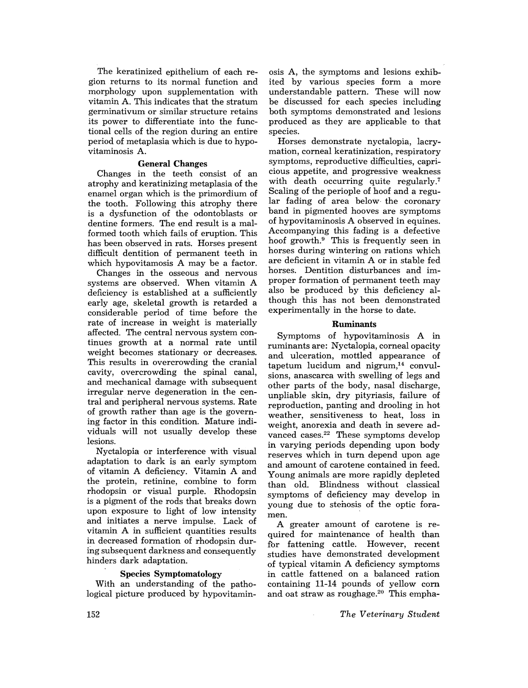The keratinized epithelium of each region returns to its normal function and morphology upon supplementation with vitamin A. This indicates that the stratum germinativum or similar structure retains its power to differentiate into the functional cells of the region during an entire period of metaplasia which is due to hypovitaminosis A.

## General Changes

Changes in the teeth consist of an atrophy and keratinizing metaplasia of the enamel organ which is the primordium of the tooth. Following this atrophy there is a dysfunction of the odontoblasts or dentine formers. The end result is a malformed tooth which fails of eruption. This has been observed in rats. Horses present difficult dentition of permanent teeth in which hypovitamosis A may be a factor.

Changes in the osseous and nervous systems are observed. When vitamin A deficiency is established at a sufficiently early age, skeletal growth is retarded a considerable period of time before the rate of increase in weight is materially affected. The central nervous system continues growth at a normal rate until weight becomes stationary or decreases. This results in overcrowding the cranial cavity, overcrowding the spinal canal, and mechanical damage with subsequent irregular nerve degeneration in the central and peripheral nervous systems. Rate of growth rather than age is the governing factor in this condition. Mature individuals will not usually develop these lesions.

Nyctalopia or interference with visual adaptation to dark is an early symptom of vitamin A deficiency. Vitamin A and the protein, retinine, combine to form rhodopsin or visual purple. Rhodopsin is a pigment of the rods that breaks down upon exposure to light of low intensity and initiates a nerve impulse. Lack of vitamin A in sufficient quantities results in decreased formation of rhodopsin during subsequent darkness and consequently hinders dark adaptation.

## Species Symptomatology

With an understanding of the pathological picture produced by hypovitamin-

osis A, the symptoms and lesions exhibited by various species form a more understandable pattern. These will now be discussed for each species including both symptoms demonstrated and lesions produced as they are applicable to that species.

Horses demonstrate nyctalopia, lacrymation, corneal keratinization, respiratory symptoms, reproductive difficulties, capricious appetite, and progressive weakness with death occurring quite regularly.<sup>7</sup> Scaling of the periople of hoof and a regular fading of area below the coronary band in pigmented hooves are symptoms of hypovitaminosis A observed in equines. Accompanying this fading is a defective hoof growth.<sup>9</sup> This is frequently seen in horses during wintering on rations which are deficient in vitamin A or in stable fed horses. Dentition disturbances and improper formation of permanent teeth may also be produced by this deficiency although this has not been demonstrated experimentally in the horse to date.

## Ruminants

Symptoms of hypovitaminosis A in ruminants are: Nyctalopia, corneal opacity and ulceration, mottled appearance of tapetum lucidum and nigrum,<sup>14</sup> convulsions, anascarca with swelling of legs and other parts of the body, nasal discharge, unpliable skin, dry pityriasis, failure of reproduction, panting and drooling in hot weather, sensitiveness to heat, loss in weight, anorexia and death in severe advanced cases.<sup>22</sup> These symptoms develop in varying periods depending upon body reserves which in turn depend upon age and amount of carotene contained in feed. Young animals are more rapidly depleted than old. Blindness without classical symptoms of deficiency may develop in young due to stenosis of the optic foramen.

A greater amount of carotene is required for maintenance of health than for fattening cattle. However, recent studies have demonstrated development of typical vitamin A deficiency symptoms in cattle fattened on a balanced ration containing 11-14 pounds of yellow corn and oat straw as roughage.<sup>20</sup> This empha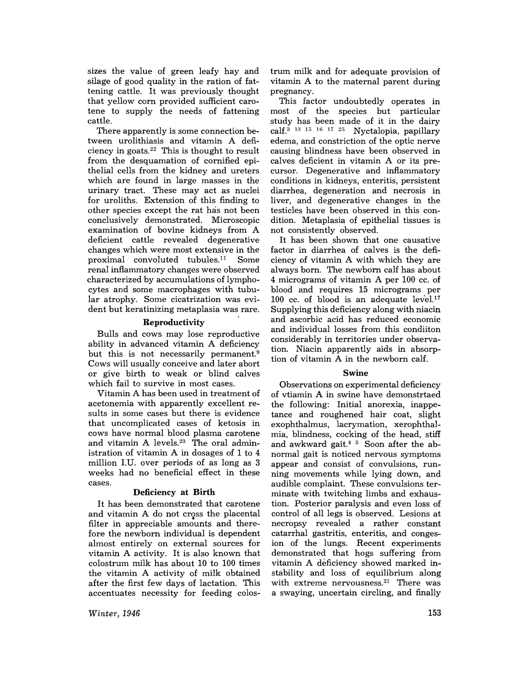sizes the value of green leafy hay and silage of good quality in the ration of fattening cattle. It was previously thought that yellow corn provided sufficient carotene to supply the needs of fattening cattle.

There apparently is some connection between urolithiasis and vitamin A deficiency in goats. $22$  This is thought to result from the desquamation of cornified epithelial cells from the kidney and ureters which are found in large masses in the urinary tract. These may act as nuclei for uroliths. Extension of this finding to other species except the rat has not been conclusively demonstrated. Microscopic examination of bovine kidneys from A deficient cattle revealed degenerative changes which were most extensive in the proximal convoluted tubules. $11$  Some renal inflammatory changes were observed characterized by accumulations of lymphocytes and some macrophages with tubular atrophy. Some cicatrization was evident but keratinizing metaplasia was rare.

## Reproductivity

Bulls and cows may lose reproductive ability in advanced vitamin A deficiency but this is not necessarily permanent.<sup>9</sup> Cows will usually conceive and later abort or give birth to weak or blind calves which fail to survive in most cases.

Vitamin A has been used in treatment of acetonemia with apparently excellent results in some cases but there is evidence that uncomplicated cases of ketosis in cows have normal blood plasma carotene and vitamin  $A$  levels. $23$  The oral administration of vitamin A in dosages of 1 to 4 million I.U. over periods of as long as 3 weeks had no beneficial effect in these cases.

## Deficiency at **Birth**

It has been demonstrated that carotene and vitamin A do not cross the placental filter in appreciable amounts and therefore the newborn individual is dependent almost entirely on external sources for vitamin A activity. It is also known that colostrum milk has about 10 to 100 times the vitamin A activity of milk obtained after the first few days of lactation. This accentuates necessity for feeding colos-

*Winter, 1946* 

trum milk and for adequate provision of vitamin A to the maternal parent during pregnancy.

This factor undoubtedly operates in most of the species but particular study has been made of it in the dairy calf.<sup>3</sup> <sup>13</sup> <sup>15</sup> <sup>16</sup> <sup>17</sup> <sup>25</sup> Nyctalopia, papillary edema, and constriction of the optic nerve . causing blindness have been observed in calves deficient in vitamin A or its precursor. Degenerative and inflammatory conditions in kidneys, enteritis, persistent diarrhea, degeneration and necrosis in liver, and degenerative changes in the testicles have been observed in this condition. Metaplasia of epithelial tissues is not consistently observed.

It has been shown that one causative factor in diarrhea of calves is the deficiency of vitamin A with which they are always born. The newborn calf has about 4 micrograms of vitamin A per 100 cc. of blood and requires 15 micrograms per 100 cc. of blood is an adequate level.<sup>17</sup> Supplying this deficiency along with niacin and ascorbic acid has reduced economic and individual losses from this condiiton considerably in territories under observation. Niacin apparently aids in absorption of vitamin A in the newborn calf.

#### Swine

Observations on experimental deficiency of vtiamin A in swine have demonstrtaed the following: Initial anorexia, inappetance and roughened hair coat, slight exophthalmus, lacrymation, xerophthalmia, blindness, cocking of the head, stiff and awkward gait. $4\frac{5}{5}$  Soon after the abnormal gait is noticed nervous symptoms appear and consist of convulsions, running movements while lying down, and audible complaint. These convulsions terminate with twitching limbs and exhaustion. Posterior paralysis and even loss of control of all legs is observed. Lesions at necropsy revealed a rather constant catarrhal gastritis, enteritis, and congesion of the lungs. Recent experiments demonstrated that hogs suffering from vitamin A deficiency showed marked instability and loss of equilibrium along with extreme nervousness. $21$  There was a swaying, uncertain circling, and finally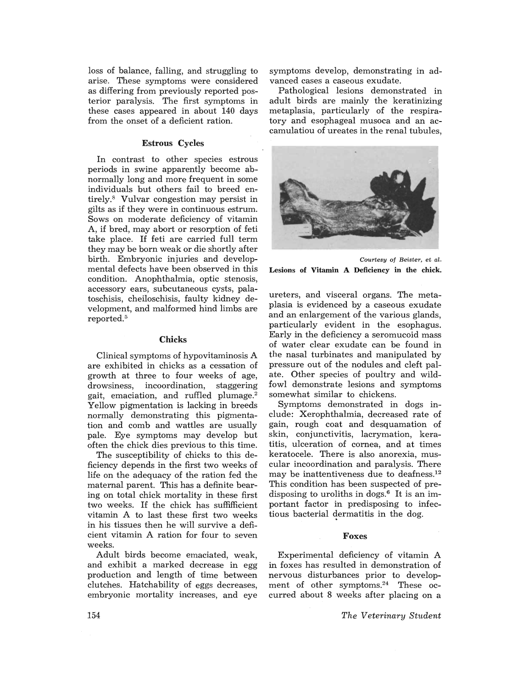loss of balance, falling, and struggling to arise. These symptoms were considered as differing from previously reported posterior paralysis. The first symptoms in these cases appeared in about 140 days from the onset of a deficient ration.

#### Estrous Cycles

In contrast to other species estrous periods in swine apparently become abnormally long and more frequent in some individuals but others fail to breed entirely.<sup>8</sup> Vulvar congestion may persist in gilts as if they were in continuous estrum. Sows on moderate deficiency of vitamin A, if bred, may abort or resorption of feti take place. If feti are carried full term they may be born weak or die shortly after birth. Embryonic in juries and developmental defects have been observed in this condition. Anophthalmia, optic stenosis, accessory ears, subcutaneous cysts, palatoschisis, cheiloschisis, faulty kidney development, and malformed hind limbs are reported.<sup>5</sup>

## Chicks

Clinical symptoms of hypovitaminosis A are exhibited in chicks as a cessation of growth at three to four weeks of age, drowsiness, incoordination, staggering gait, emaciation, and ruffled plumage.<sup>2</sup> Yellow pigmentation is lacking in breeds normally demonstrating this pigmentation and comb and wattles are usually pale. Eye symptoms may develop but often the chick dies previous to this time.

The susceptibility of chicks to this deficiency depends in the first two weeks of life on the adequacy of the ration fed the maternal parent. This has a definite bearing on total chick mortality in these first two weeks. If the chick has suffifficient vitamin A to last these first two weeks in his tissues then he will survive a deficient vitamin A ration for four to seven weeks.

Adult birds become emaciated, weak, and exhibit a marked decrease in egg production and length of time between clutches. Hatchability of eggs decreases, embryonic mortality increases, and eye

symptoms develop, demonstrating in advanced cases a caseous exudate.

Pathological lesions demonstrated in adult birds are mainly the keratinizing metaplasia, particularly of the respiratory and esophageal musoca and an accamulatiou of ureates in the renal tubules,



*Courtesy oj Beister,* et *al.*  Lesions of Vitamin A Deficiency in the chick.

ureters, and visceral organs. The metaplasia is evidenced by a caseous exudate and an enlargement of the various glands, particularly evident in the esophagus. Early in the deficiency a seromucoid mass of water clear exudate can be found in the nasal turbinates and manipulated by pressure out of the nodules and cleft palate. Other species of poultry and wildfowl demonstrate lesions and symptoms somewhat similar to chickens.

Symptoms demonstrated in dogs include: Xerophthalmia, decreased rate of gain, rough coat and desquamation of skin, conjunctivitis, lacrymation, keratitis, ulceration of cornea, and at times keratocele. There is also anorexia, muscular incoordination and paralysis. There may be inattentiveness due to deafness.<sup>12</sup> This condition has been suspected of predisposing to uroliths in dogs. $6$  It is an important factor in predisposing to infectious bacterial dermatitis in the dog.

#### Foxes

Experimental deficiency of vitamin A in foxes has resulted in demonstration of nervous disturbances prior to development of other symptoms.<sup>24</sup> These occurred about 8 weeks after placing on a

*The Veterinary Student*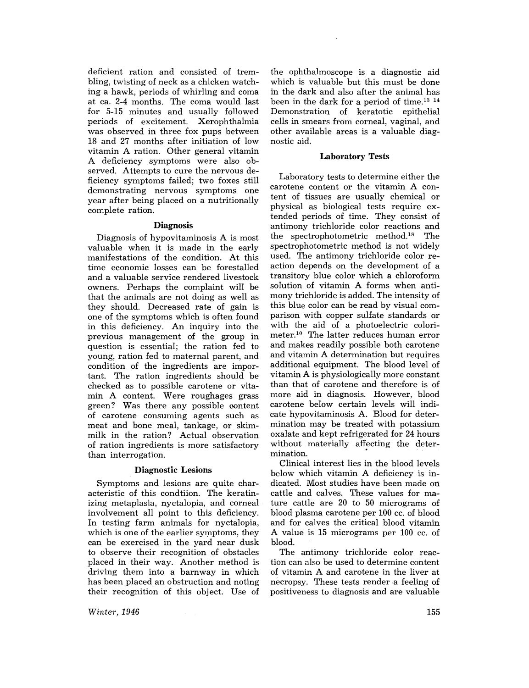deficient ration and consisted of trembling, twisting of neck as a chicken watching a hawk, periods of whirling and coma at ca. 2-4 months. The coma would last for 5-15 minutes and usually followed periods of excitement. Xerophthalmia was observed in three fox pups between 18 and 27 months after initiation of low vitamin A ration. Other general vitamin A deficiency symptoms were also observed. Attempts to cure the nervous deficiency symptoms failed; two foxes still demonstrating nervous symptoms one year after being placed on a nutritionally complete ration.

## **Diagnosis**

Diagnosis of hypovitaminosis A is most valuable when it is made in the early manifestations of the condition. At this time economic losses can be forestalled and a valuable service rendered livestock owners. Perhaps the complaint will be that the animals are not doing as well as they should. Decreased rate of gain is one of the symptoms which is often found in this deficiency. An inquiry into the previous management of the group in question is essential; the ration fed to young, ration fed to maternal parent, and condition of the ingredients are important. The ration ingredients should be checked as to possible carotene or vitamin A content. Were roughages grass green? Was there any possible oontent of carotene consuming agents such as meat and bone meal, tankage, or skimmilk in the ration? Actual observation of ration ingredients is more satisfactory than interrogation.

## Diagnostic Lesions

Symptoms and lesions are quite characteristic of this condtiion. The keratinizing metaplasia, nyctalopia, and corneal involvement all point to this deficiency. In testing farm animals for nyctalopia, which is one of the earlier symptoms, they can be exercised in the yard near dusk to observe their recognition of obstacles placed in their way. Another method is driving them into a barnway in which has been placed an obstruction and noting their recognition of this object. Use of

*Winter, 1946* 

the ophthalmoscope is a diagnostic aid which is valuable but this must be done in the dark and also after the animal has been in the dark for a period of time.<sup>13 14</sup> Demonstration of keratotic epithelial cells in smears from corneal, vaginal, and other available areas is a valuable diagnostic aid.

# Laboratory Tests

Laboratory tests to determine either the carotene content or the vitamin A content of tissues are usually chemical or physical as biological tests require extended periods of time. They consist of antimony trichloride color reactions and the spectrophotometric method.18 The spectrophotometric method is not widely used. The antimony trichloride color reaction depends on the development of a transitory blue color which a chloroform solution of vitamin A forms when antimony trichloride is added. The intensity of this blue color can be read by visual comparison with copper sulfate standards or with the aid of a photoelectric colorimeter; 10 The latter reduces human error and makes readily possible both carotene and vitamin A determination but requires additional equipment. The blood level of vitamin A is physiologically more constant than that of carotene and therefore is of more aid in diagnosis. However, blood carotene below certain levels will indicate hypovitaminosis A. Blood for determination may be treated with potassium oxalate and kept refrigerated for 24 hours without materially affecting the determination. •

Clinical interest lies in the blood levels below which vitamin A deficiency is indicated. Most studies have been made on cattle and calves. These values for mature cattle are 20 to 50 micrograms of blood plasma carotene per 100 cc. of blood and for calves the critical blood vitamin A value is 15 micrograms per 100 cc. of blood.

The antimony trichloride color reaction can also be used to determine content of vitamin A and carotene in the liver at necropsy. These tests render a feeling of positiveness to diagnosis and are valuable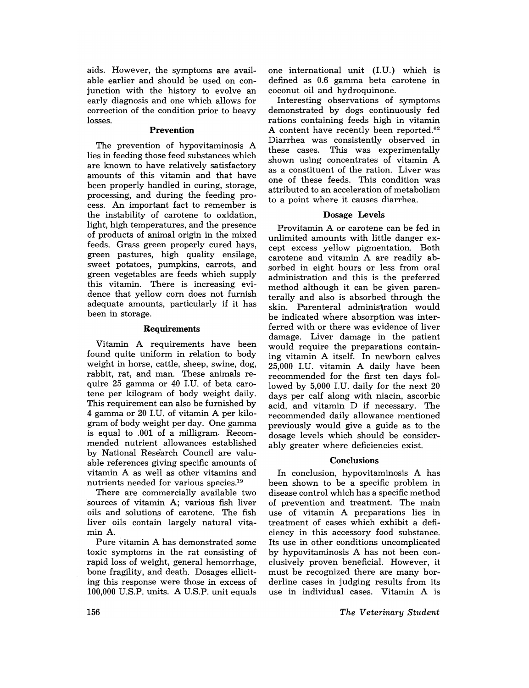aids. However, the symptoms are available earlier and should be used on conjunction with the history to evolve an early diagnosis and one which allows for correction of the condition prior to heavy losses.

#### Prevention

The prevention of hypovitaminosis A lies in feeding those feed substances which are known to have relatively satisfactory amounts of this vitamin and that have been properly handled in curing, storage, processing, and during the feeding process. An important fact to remember is the instability of carotene to oxidation, light, high temperatures, and the presence of products of animal origin in the mixed feeds. Grass green properly cured hays, green pastures, high quality ensilage, sweet potatoes, pumpkins, carrots, and green vegetables are feeds which supply this vitamin. There is increasing evidence that yellow corn does not furnish adequate amounts, particularly if it has been in storage.

#### **Requirements**

Vitamin A requirements have been found quite uniform in relation to body weight in horse, cattle, sheep, swine, dog, rabbit, rat, and man. These animals require 25 gamma or 40 LU. of beta carotene per kilogram of body weight daily. This requirement can also be furnished by 4 gamma or 20 I.U. of vitamin A per kilogram of body weight per day. One gamma is equal to .001 of a milligram. Recommended nutrient allowances established by National Rese'arch Council are valuable references giving specific amounts of vitamin A as well as other vitamins and nutrients needed for various species.19

There are commercially available two sources of vitamin A; various fish liver oils and solutions of carotene. The fish liver oils contain largely natural vitamin A.

Pure vitamin A has demonstrated some toxic symptoms in the rat consisting of rapid loss of weight, general hemorrhage, bone fragility, and death. Dosages elliciting this response were those in excess of 100,000 U.S.P. units. A U.S.P. unit equals

one international unit (J.U.) which is defined as 0.6 gamma beta carotene in coconut oil and hydroquinone.

Interesting observations of symptoms demonstrated by dogs continuously fed rations containing feeds high in vitamin A content have recently been reported.<sup>62</sup> Diarrhea was consistently observed in This was experimentally shown using concentrates of vitamin A as a constituent of the ration. Liver was one of these feeds. This condition was attributed to an acceleration of metabolism to a point where it causes diarrhea.

#### Dosage Levels

Provitamin A or carotene can be fed in unlimited amounts with little danger except excess yellow pigmentation. Both carotene and vitamin A are readily absorbed in eight hours or less from oral administration and this is the preferred method although it can be given parenterally and also is absorbed through the skin. Parenteral administration would be indicated where absorption was interferred with or there was evidence of liver damage. Liver damage in the patient would require the preparations containing vitamin A itself. In newborn calves 25,000 LU. vitamin A daily have been recommended for the first ten days followed by 5,000 J.U. daily for the next 20 days per calf along with niacin, ascorbic acid, and vitamin D if necessary. The recommended daily allowance mentioned previously would give a guide as to the dosage levels which should be considerably greater where deficiencies exist.

#### **Conclusions**

In conclusion, hypovitaminosis A has been shown to be a specific problem in disease control which has a specific method of prevention and treatment. The main use of vitamin A preparations lies in treatment of cases which exhibit a deficiency in this accessory food substance. Its use in other conditions uncomplicated by hypovitaminosis A has not been conclusively proven beneficial. However, it must be recognized there are many borderline cases in judging results from its use in individual cases. Vitamin A is